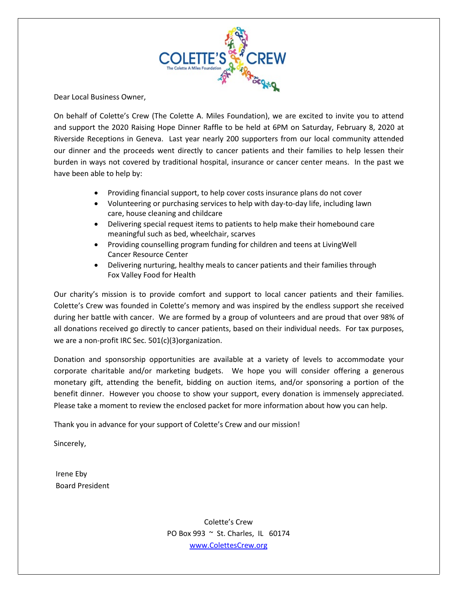

Dear Local Business Owner,

On behalf of Colette's Crew (The Colette A. Miles Foundation), we are excited to invite you to attend and support the 2020 Raising Hope Dinner Raffle to be held at 6PM on Saturday, February 8, 2020 at Riverside Receptions in Geneva. Last year nearly 200 supporters from our local community attended our dinner and the proceeds went directly to cancer patients and their families to help lessen their burden in ways not covered by traditional hospital, insurance or cancer center means. In the past we have been able to help by:

- Providing financial support, to help cover costs insurance plans do not cover
- Volunteering or purchasing services to help with day-to-day life, including lawn care, house cleaning and childcare
- Delivering special request items to patients to help make their homebound care meaningful such as bed, wheelchair, scarves
- Providing counselling program funding for children and teens at LivingWell Cancer Resource Center
- Delivering nurturing, healthy meals to cancer patients and their families through Fox Valley Food for Health

Our charity's mission is to provide comfort and support to local cancer patients and their families. Colette's Crew was founded in Colette's memory and was inspired by the endless support she received during her battle with cancer. We are formed by a group of volunteers and are proud that over 98% of all donations received go directly to cancer patients, based on their individual needs. For tax purposes, we are a non-profit IRC Sec. 501(c)(3)organization.

Donation and sponsorship opportunities are available at a variety of levels to accommodate your corporate charitable and/or marketing budgets. We hope you will consider offering a generous monetary gift, attending the benefit, bidding on auction items, and/or sponsoring a portion of the benefit dinner. However you choose to show your support, every donation is immensely appreciated. Please take a moment to review the enclosed packet for more information about how you can help.

Thank you in advance for your support of Colette's Crew and our mission!

Sincerely,

Irene Eby Board President

> Colette's Crew PO Box 993 ~ St. Charles, IL 60174 [www.ColettesCrew.org](http://www.colettescrew.org/)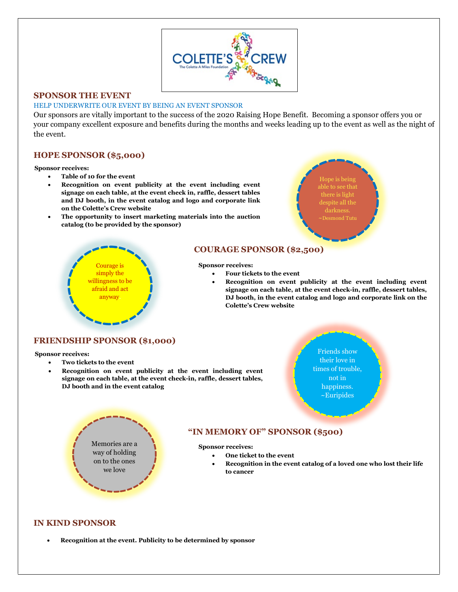

### **SPONSOR THE EVENT**

#### HELP UNDERWRITE OUR EVENT BY BEING AN EVENT SPONSOR

Our sponsors are vitally important to the success of the 2020 Raising Hope Benefit. Becoming a sponsor offers you or your company excellent exposure and benefits during the months and weeks leading up to the event as well as the night of the event.

# **HOPE SPONSOR (\$5,000)**

#### **Sponsor receives:**

- **Table of 10 for the event**
- **Recognition on event publicity at the event including event signage on each table, at the event check in, raffle, dessert tables and DJ booth, in the event catalog and logo and corporate link on the Colette's Crew website**
- **The opportunity to insert marketing materials into the auction catalog (to be provided by the sponsor)**





# **COURAGE SPONSOR (\$2,500)**

#### **Sponsor receives:**

- **Four tickets to the event**
- **Recognition on event publicity at the event including event signage on each table, at the event check-in, raffle, dessert tables, DJ booth, in the event catalog and logo and corporate link on the Colette's Crew website**

### **FRIENDSHIP SPONSOR (\$1,000)**

#### **Sponsor receives:**

- **Two tickets to the event**
- **Recognition on event publicity at the event including event signage on each table, at the event check-in, raffle, dessert tables, DJ booth and in the event catalog**

Friends show their love in times of trouble, not in happiness. ~Euripides



# **"IN MEMORY OF" SPONSOR (\$500)**

**Sponsor receives:**

- **One ticket to the event**
- **Recognition in the event catalog of a loved one who lost their life to cancer**

#### **IN KIND SPONSOR**

• **Recognition at the event. Publicity to be determined by sponsor**